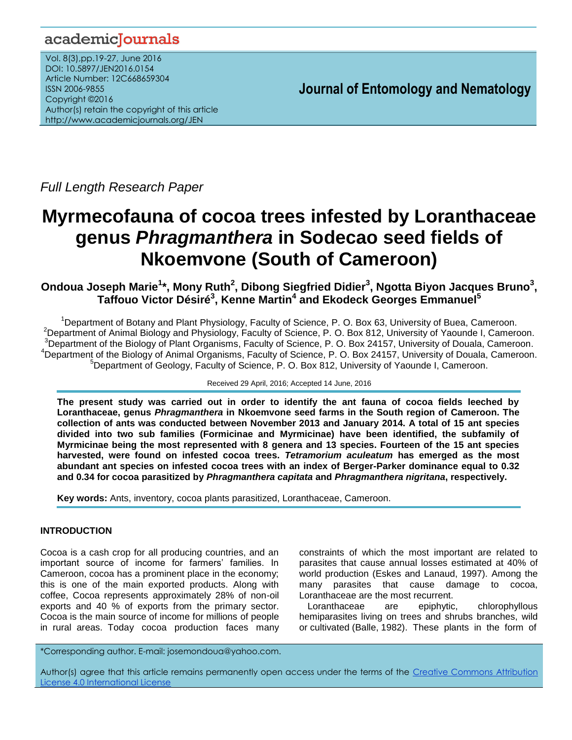## academicJournals

Vol. 8(3),pp.19-27, June 2016 DOI: 10.5897/JEN2016.0154 Article Number: 12C668659304 ISSN 2006-9855 Copyright ©2016 Author(s) retain the copyright of this article http://www.academicjournals.org/JEN

**Journal of Entomology and Nematology**

*Full Length Research Paper*

# **Myrmecofauna of cocoa trees infested by Loranthaceae genus** *Phragmanthera* **in Sodecao seed fields of Nkoemvone (South of Cameroon)**

**Ondoua Joseph Marie<sup>1</sup> \*, Mony Ruth<sup>2</sup> , Dibong Siegfried Didier<sup>3</sup> , Ngotta Biyon Jacques Bruno<sup>3</sup> , Taffouo Victor Désiré<sup>3</sup> , Kenne Martin<sup>4</sup> and Ekodeck Georges Emmanuel<sup>5</sup>**

<sup>1</sup>Department of Botany and Plant Physiology, Faculty of Science, P. O. Box 63, University of Buea, Cameroon. <sup>2</sup>Department of Animal Biology and Physiology, Faculty of Science, P. O. Box 812, University of Yaounde I, Cameroon. <sup>3</sup>Department of the Biology of Plant Organisms, Faculty of Science, P. O. Box 24157, University of Douala, Cameroon. <sup>4</sup>Department of the Biology of Animal Organisms, Faculty of Science, P. O. Box 24157, University of Douala, Cameroon. <sup>5</sup>Department of Geology, Faculty of Science, P. O. Box 812, University of Yaounde I, Cameroon.

Received 29 April, 2016; Accepted 14 June, 2016

**The present study was carried out in order to identify the ant fauna of cocoa fields leeched by Loranthaceae, genus** *Phragmanthera* **in Nkoemvone seed farms in the South region of Cameroon. The collection of ants was conducted between November 2013 and January 2014. A total of 15 ant species divided into two sub families (Formicinae and Myrmicinae) have been identified, the subfamily of Myrmicinae being the most represented with 8 genera and 13 species. Fourteen of the 15 ant species harvested, were found on infested cocoa trees.** *Tetramorium aculeatum* **has emerged as the most abundant ant species on infested cocoa trees with an index of Berger-Parker dominance equal to 0.32 and 0.34 for cocoa parasitized by** *Phragmanthera capitata* **and** *Phragmanthera nigritana***, respectively.**

**Key words:** Ants, inventory, cocoa plants parasitized, Loranthaceae, Cameroon.

## **INTRODUCTION**

Cocoa is a cash crop for all producing countries, and an important source of income for farmers' families. In Cameroon, cocoa has a prominent place in the economy; this is one of the main exported products. Along with coffee, Cocoa represents approximately 28% of non-oil exports and 40 % of exports from the primary sector. Cocoa is the main source of income for millions of people in rural areas. Today cocoa production faces many

constraints of which the most important are related to parasites that cause annual losses estimated at 40% of world production (Eskes and Lanaud, 1997). Among the many parasites that cause damage to cocoa, Loranthaceae are the most recurrent.

Loranthaceae are epiphytic, chlorophyllous hemiparasites living on trees and shrubs branches, wild or cultivated (Balle, 1982). These plants in the form of

\*Corresponding author. E-mail: josemondoua@yahoo.com.

Author(s) agree that this article remains permanently open access under the terms of the Creative Commons Attribution [License 4.0 International License](http://creativecommons.org/licenses/by/4.0/deed.en_US)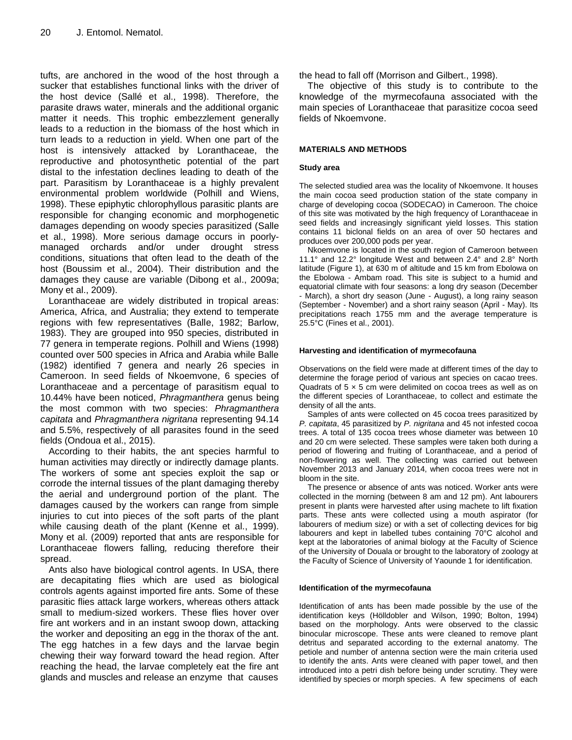tufts, are anchored in the wood of the host through a sucker that establishes functional links with the driver of the host device (Sallé et al., 1998). Therefore, the parasite draws water, minerals and the additional organic matter it needs. This trophic embezzlement generally leads to a reduction in the biomass of the host which in turn leads to a reduction in yield. When one part of the host is intensively attacked by Loranthaceae, the reproductive and photosynthetic potential of the part distal to the infestation declines leading to death of the part. Parasitism by Loranthaceae is a highly prevalent environmental problem worldwide (Polhill and Wiens, 1998). These epiphytic chlorophyllous parasitic plants are responsible for changing economic and morphogenetic damages depending on woody species parasitized (Salle et al., 1998). More serious damage occurs in poorlymanaged orchards and/or under drought stress conditions, situations that often lead to the death of the host (Boussim et al., 2004). Their distribution and the damages they cause are variable (Dibong et al., 2009a; Mony et al., 2009).

Loranthaceae are widely distributed in tropical areas: America, Africa, and Australia; they extend to temperate regions with few representatives (Balle, 1982; Barlow, 1983). They are grouped into 950 species, distributed in 77 genera in temperate regions. Polhill and Wiens (1998) counted over 500 species in Africa and Arabia while Balle (1982) identified 7 genera and nearly 26 species in Cameroon. In seed fields of Nkoemvone, 6 species of Loranthaceae and a percentage of parasitism equal to 10.44% have been noticed, *Phragmanthera* genus being the most common with two species: *Phragmanthera capitata* and *Phragmanthera nigritana* representing 94.14 and 5.5%, respectively of all parasites found in the seed fields (Ondoua et al., 2015).

According to their habits, the ant species harmful to human activities may directly or indirectly damage plants. The workers of some ant species exploit the sap or corrode the internal tissues of the plant damaging thereby the aerial and underground portion of the plant. The damages caused by the workers can range from simple injuries to cut into pieces of the soft parts of the plant while causing death of the plant (Kenne et al., 1999). Mony et al. (2009) reported that ants are responsible for Loranthaceae flowers falling*,* reducing therefore their spread.

Ants also have biological control agents. In USA, there are decapitating flies which are used as biological controls agents against imported fire ants. Some of these parasitic flies attack large workers, whereas others attack small to medium-sized workers. These flies hover over fire ant workers and in an instant swoop down, attacking the worker and depositing an egg in the thorax of the ant. The egg hatches in a few days and the larvae begin chewing their way forward toward the head region. After reaching the head, the larvae completely eat the fire ant glands and muscles and release an enzyme that causes

the head to fall off (Morrison and Gilbert., 1998).

The objective of this study is to contribute to the knowledge of the myrmecofauna associated with the main species of Loranthaceae that parasitize cocoa seed fields of Nkoemvone.

#### **MATERIALS AND METHODS**

#### **Study area**

The selected studied area was the locality of Nkoemvone. It houses the main cocoa seed production station of the state company in charge of developing cocoa (SODECAO) in Cameroon. The choice of this site was motivated by the high frequency of Loranthaceae in seed fields and increasingly significant yield losses. This station contains 11 biclonal fields on an area of over 50 hectares and produces over 200,000 pods per year.

Nkoemvone is located in the south region of Cameroon between 11.1° and 12.2° longitude West and between 2.4° and 2.8° North latitude (Figure 1), at 630 m of altitude and 15 km from Ebolowa on the Ebolowa - Ambam road. This site is subject to a humid and equatorial climate with four seasons: a long dry season (December - March), a short dry season (June - August), a long rainy season (September - November) and a short rainy season (April - May). Its precipitations reach 1755 mm and the average temperature is 25.5°C (Fines et al., 2001).

#### **Harvesting and identification of myrmecofauna**

Observations on the field were made at different times of the day to determine the forage period of various ant species on cacao trees. Quadrats of 5 × 5 cm were delimited on cocoa trees as well as on the different species of Loranthaceae, to collect and estimate the density of all the ants.

Samples of ants were collected on 45 cocoa trees parasitized by *P. capitata*, 45 parasitized by *P. nigritana* and 45 not infested cocoa trees. A total of 135 cocoa trees whose diameter was between 10 and 20 cm were selected. These samples were taken both during a period of flowering and fruiting of Loranthaceae, and a period of non-flowering as well. The collecting was carried out between November 2013 and January 2014, when cocoa trees were not in bloom in the site.

The presence or absence of ants was noticed. Worker ants were collected in the morning (between 8 am and 12 pm). Ant labourers present in plants were harvested after using machete to lift fixation parts. These ants were collected using a mouth aspirator (for labourers of medium size) or with a set of collecting devices for big labourers and kept in labelled tubes containing 70°C alcohol and kept at the laboratories of animal biology at the Faculty of Science of the University of Douala or brought to the laboratory of zoology at the Faculty of Science of University of Yaounde 1 for identification.

#### **Identification of the myrmecofauna**

Identification of ants has been made possible by the use of the identification keys (Hölldobler and Wilson, 1990; Bolton, 1994) based on the morphology. Ants were observed to the classic binocular microscope. These ants were cleaned to remove plant detritus and separated according to the external anatomy. The petiole and number of antenna section were the main criteria used to identify the ants. Ants were cleaned with paper towel, and then introduced into a petri dish before being under scrutiny. They were identified by species or morph species. A few specimens of each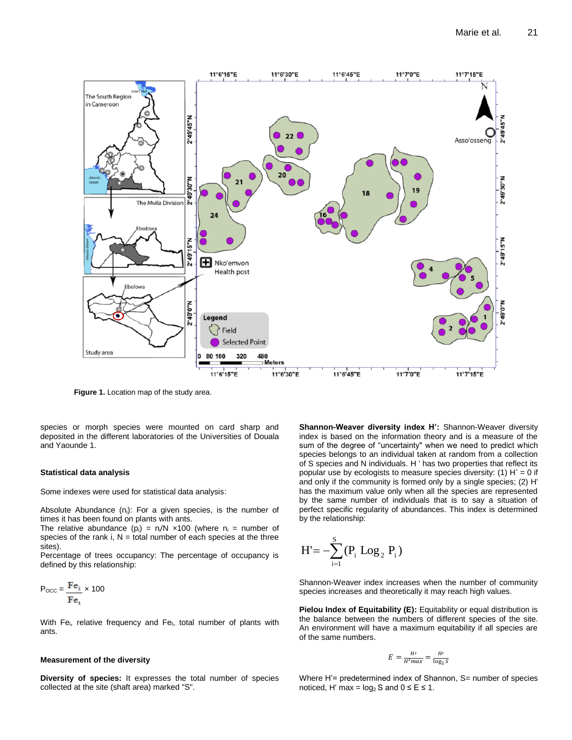

**Figure 1.** Location map of the study area.

species or morph species were mounted on card sharp and deposited in the different laboratories of the Universities of Douala and Yaounde 1.

#### **Statistical data analysis**

Some indexes were used for statistical data analysis:

Absolute Abundance  $(n_i)$ : For a given species, is the number of times it has been found on plants with ants.

The relative abundance (p<sub>i</sub>) =  $n/N \times 100$  (where  $n_i$  = number of species of the rank i,  $N =$  total number of each species at the three sites).

Percentage of trees occupancy: The percentage of occupancy is defined by this relationship:

$$
P_{\text{OCC}} = \frac{Fe_i}{Fe_t} \times 100
$$

With Fe<sub>i</sub>, relative frequency and Fe<sub>t</sub>, total number of plants with ants.

#### **Measurement of the diversity**

**Diversity of species:** It expresses the total number of species collected at the site (shaft area) marked "S".

**Shannon-Weaver diversity index H':** Shannon-Weaver diversity index is based on the information theory and is a measure of the sum of the degree of "uncertainty" when we need to predict which species belongs to an individual taken at random from a collection of S species and N individuals. H ' has two properties that reflect its popular use by ecologists to measure species diversity:  $(1)$  H' = 0 if and only if the community is formed only by a single species; (2) H' has the maximum value only when all the species are represented by the same number of individuals that is to say a situation of perfect specific regularity of abundances. This index is determined by the relationship:

$$
H' = -\sum_{i=1}^{S} (P_i \text{ Log}_2 P_i)
$$

Shannon-Weaver index increases when the number of community species increases and theoretically it may reach high values.

**Pielou Index of Equitability (E):** Equitability or equal distribution is the balance between the numbers of different species of the site. An environment will have a maximum equitability if all species are of the same numbers.

$$
E = \frac{H'}{H'max} = \frac{H'}{\log_2 s}
$$

Where H'= predetermined index of Shannon, S= number of species noticed, H' max =  $log_2 S$  and  $0 \le E \le 1$ .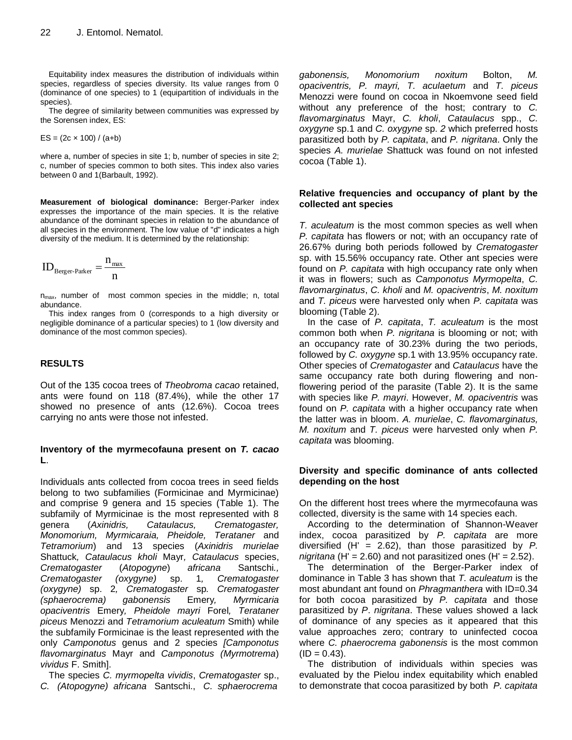Equitability index measures the distribution of individuals within species, regardless of species diversity. Its value ranges from 0 (dominance of one species) to 1 (equipartition of individuals in the species).

The degree of similarity between communities was expressed by the Sorensen index, ES:

$$
ES = (2c \times 100) / (a+b)
$$

where a, number of species in site 1; b, number of species in site 2; c, number of species common to both sites. This index also varies between 0 and 1(Barbault, 1992).

**Measurement of biological dominance:** Berger-Parker index expresses the importance of the main species. It is the relative abundance of the dominant species in relation to the abundance of all species in the environment. The low value of "d" indicates a high diversity of the medium. It is determined by the relationship:

$$
ID_{\text{Berger-Parker}} = \frac{n_{\text{max}}}{n}
$$

 $n<sub>max</sub>$ , number of most common species in the middle; n, total abundance.

This index ranges from 0 (corresponds to a high diversity or negligible dominance of a particular species) to 1 (low diversity and dominance of the most common species).

## **RESULTS**

Out of the 135 cocoa trees of *Theobroma cacao* retained, ants were found on 118 (87.4%), while the other 17 showed no presence of ants (12.6%). Cocoa trees carrying no ants were those not infested.

## **Inventory of the myrmecofauna present on** *T. cacao* **L**.

Individuals ants collected from cocoa trees in seed fields belong to two subfamilies (Formicinae and Myrmicinae) and comprise 9 genera and 15 species (Table 1). The subfamily of Myrmicinae is the most represented with 8 genera (*Axinidris, Cataulacus, Crematogaster, Monomorium, Myrmicaraia, Pheidole, Terataner* and *Tetramorium*) and 13 species (*Axinidris murielae*  Shattuck*, Cataulacus kholi* Mayr*, Cataulacus* species, *Crematogaster* (*Atopogyne*) *africana* Santschi*., Crematogaster (oxygyne)* sp. 1*, Crematogaster (oxygyne)* sp. 2*, Crematogaster* sp*. Crematogaster (sphaerocrema) gabonensis* Emery*, Myrmicaria opaciventris* Emery*, Pheidole mayri* Forel*, Terataner piceus* Menozzi and *Tetramorium aculeatum* Smith) while the subfamily Formicinae is the least represented *w*ith the only *Camponotus* genus and 2 species *[Camponotus flavomarginatus* Mayr and *Camponotus (Myrmotrema*) *vividus* F. Smith].

The species *C. myrmopelta vividis*, *Crematogaster* sp., *C. (Atopogyne) africana* Santschi., *C. sphaerocrema* 

*gabonensis, Monomorium noxitum* Bolton, *M. opaciventris, P. mayri, T. aculaetum* and *T. piceus*  Menozzi were found on cocoa in Nkoemvone seed field without any preference of the host; contrary to *C. flavomarginatus* Mayr, *C. kholi*, *Cataulacus* spp., *C. oxygyne* sp.1 and *C. oxygyne* sp. *2* which preferred hosts parasitized both by *P. capitata*, and *P. nigritana*. Only the species *A. murielae* Shattuck was found on not infested cocoa (Table 1).

### **Relative frequencies and occupancy of plant by the collected ant species**

*T. aculeatum* is the most common species as well when *P. capitata* has flowers or not; with an occupancy rate of 26.67% during both periods followed by *Crematogaster*  sp. with 15.56% occupancy rate. Other ant species were found on *P. capitata* with high occupancy rate only when it was in flowers; such as *Camponotus Myrmopelta*, *C. flavomarginatus*, *C. kholi* and *M. opaciventris*, *M. noxitum* and *T. piceus* were harvested only when *P. capitata* was blooming (Table 2).

In the case of *P. capitata*, *T. aculeatum* is the most common both when *P. nigritana* is blooming or not; with an occupancy rate of 30.23% during the two periods, followed by *C. oxygyne* sp.1 with 13.95% occupancy rate. Other species of *Crematogaster* and *Cataulacus* have the same occupancy rate both during flowering and nonflowering period of the parasite (Table 2). It is the same with species like *P. mayri*. However, *M. opaciventris* was found on *P. capitata* with a higher occupancy rate when the latter was in bloom. *A. murielae*, *C. flavomarginatus, M. noxitum* and *T. piceus* were harvested only when *P. capitata* was blooming.

## **Diversity and specific dominance of ants collected depending on the host**

On the different host trees where the myrmecofauna was collected, diversity is the same with 14 species each.

According to the determination of Shannon-Weaver index, cocoa parasitized by *P. capitata* are more diversified (H' = 2.62), than those parasitized by *P. nigritana* (H' = 2.60) and not parasitized ones (H' = 2.52).

The determination of the Berger-Parker index of dominance in Table 3 has shown that *T. aculeatum* is the most abundant ant found on *Phragmanthera* with ID=0.34 for both cocoa parasitized by *P. capitata* and those parasitized by *P*. *nigritana*. These values showed a lack of dominance of any species as it appeared that this value approaches zero; contrary to uninfected cocoa where *C. phaerocrema gabonensis* is the most common  $(ID = 0.43).$ 

The distribution of individuals within species was evaluated by the Pielou index equitability which enabled to demonstrate that cocoa parasitized by both *P. capitata*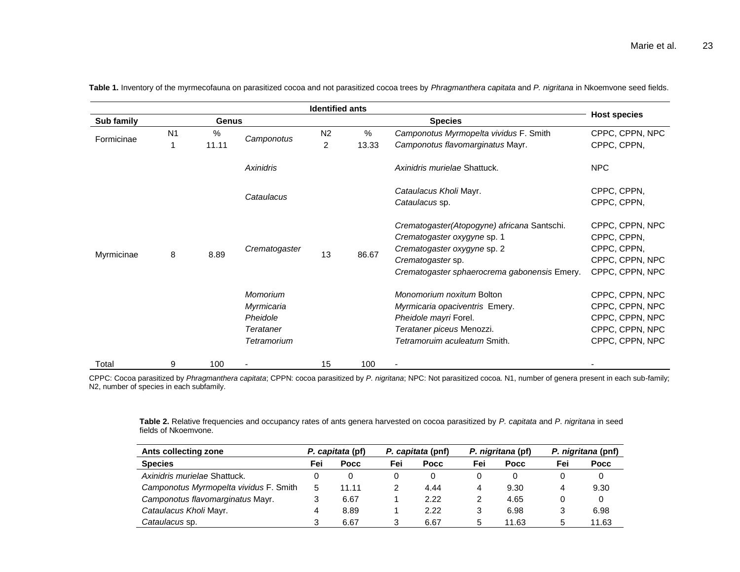| <b>Identified ants</b> |                |               |                                                                       |                                  |                                                                                                                                                                                |                                                                                                                                                   |                                                                                             |
|------------------------|----------------|---------------|-----------------------------------------------------------------------|----------------------------------|--------------------------------------------------------------------------------------------------------------------------------------------------------------------------------|---------------------------------------------------------------------------------------------------------------------------------------------------|---------------------------------------------------------------------------------------------|
| Sub family             |                | Genus         |                                                                       |                                  |                                                                                                                                                                                | <b>Host species</b>                                                                                                                               |                                                                                             |
| Formicinae             | N <sub>1</sub> | $\%$<br>11.11 | Camponotus                                                            | N <sub>2</sub><br>$\overline{2}$ | $\%$<br>13.33                                                                                                                                                                  | Camponotus Myrmopelta vividus F. Smith<br>Camponotus flavomarginatus Mayr.                                                                        | CPPC, CPPN, NPC<br>CPPC, CPPN,                                                              |
|                        |                |               | Axinidris                                                             |                                  |                                                                                                                                                                                | Axinidris murielae Shattuck.                                                                                                                      | <b>NPC</b>                                                                                  |
| Myrmicinae             | 8              |               | Cataulacus                                                            |                                  |                                                                                                                                                                                | Cataulacus Kholi Mayr.<br>Cataulacus sp.                                                                                                          | CPPC, CPPN,<br>CPPC, CPPN,                                                                  |
|                        |                | 8.89          | Crematogaster<br>13                                                   | 86.67                            | Crematogaster(Atopogyne) africana Santschi.<br>Crematogaster oxygyne sp. 1<br>Crematogaster oxygyne sp. 2<br>Crematogaster sp.<br>Crematogaster sphaerocrema gabonensis Emery. | CPPC, CPPN, NPC<br>CPPC, CPPN,<br>CPPC, CPPN,<br>CPPC, CPPN, NPC<br>CPPC, CPPN, NPC                                                               |                                                                                             |
|                        |                |               | Momorium<br>Myrmicaria<br>Pheidole<br><b>Terataner</b><br>Tetramorium |                                  |                                                                                                                                                                                | Monomorium noxitum Bolton<br>Myrmicaria opaciventris Emery.<br>Pheidole mayri Forel.<br>Terataner piceus Menozzi.<br>Tetramoruim aculeatum Smith. | CPPC, CPPN, NPC<br>CPPC, CPPN, NPC<br>CPPC, CPPN, NPC<br>CPPC, CPPN, NPC<br>CPPC, CPPN, NPC |
| Total                  | 9              | 100           |                                                                       | 15                               | 100                                                                                                                                                                            | ٠                                                                                                                                                 |                                                                                             |

**Table 1.** Inventory of the myrmecofauna on parasitized cocoa and not parasitized cocoa trees by *Phragmanthera capitata* and *P. nigritana* in Nkoemvone seed fields.

CPPC: Cocoa parasitized by *Phragmanthera capitata*; CPPN: cocoa parasitized by *P. nigritana*; NPC: Not parasitized cocoa. N1, number of genera present in each sub-family; N2, number of species in each subfamily.

**Table 2.** Relative frequencies and occupancy rates of ants genera harvested on cocoa parasitized by *P. capitata* and *P*. *nigritana* in seed fields of Nkoemvone.

| Ants collecting zone                   |     | P. capitata (pf) |     | P. capitata (pnf) |     | P. nigritana (pf) |     | P. nigritana (pnf) |  |
|----------------------------------------|-----|------------------|-----|-------------------|-----|-------------------|-----|--------------------|--|
| <b>Species</b>                         | Fei | Pocc             | Fei | Pocc              | Fei | <b>Pocc</b>       | Fei | <b>Pocc</b>        |  |
| Axinidris murielae Shattuck.           |     |                  | 0   | 0                 | 0   | 0                 |     |                    |  |
| Camponotus Myrmopelta vividus F. Smith | 5   | 11.11            |     | 4.44              | 4   | 9.30              | 4   | 9.30               |  |
| Camponotus flavomarginatus Mayr.       |     | 6.67             |     | 2.22              | 2   | 4.65              |     |                    |  |
| Cataulacus Kholi Mayr.                 |     | 8.89             |     | 2.22              | 3   | 6.98              |     | 6.98               |  |
| Cataulacus sp.                         |     | 6.67             | 3   | 6.67              | 5   | 11.63             |     | 11.63              |  |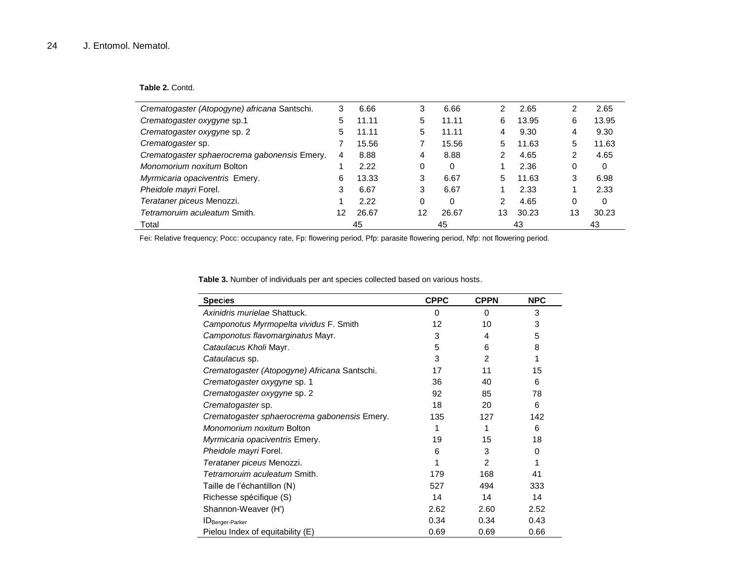## **Table 2.** Contd.

| Crematogaster (Atopogyne) africana Santschi. | 3  | 6.66  | 3  | 6.66  | 2  | 2.65  | 2  | 2.65  |
|----------------------------------------------|----|-------|----|-------|----|-------|----|-------|
| Crematogaster oxygyne sp.1                   | 5  | 11.11 | 5  | 11.11 | 6  | 13.95 | 6  | 13.95 |
| Crematogaster oxygyne sp. 2                  | 5  | 11.11 | 5  | 11.11 | 4  | 9.30  | 4  | 9.30  |
| Crematogaster sp.                            |    | 15.56 |    | 15.56 | 5  | 11.63 | 5  | 11.63 |
| Crematogaster sphaerocrema gabonensis Emery. | 4  | 8.88  | 4  | 8.88  | 2  | 4.65  | 2  | 4.65  |
| Monomorium noxitum Bolton                    |    | 2.22  | 0  | 0     |    | 2.36  | 0  | 0     |
| Myrmicaria opaciventris Emery.               | 6  | 13.33 | 3  | 6.67  | 5. | 11.63 | 3  | 6.98  |
| Pheidole mayri Forel.                        | 3  | 6.67  | 3  | 6.67  |    | 2.33  |    | 2.33  |
| Terataner piceus Menozzi.                    |    | 2.22  | 0  | 0     | 2  | 4.65  | 0  | 0     |
| Tetramoruim aculeatum Smith.                 | 12 | 26.67 | 12 | 26.67 | 13 | 30.23 | 13 | 30.23 |
| Total                                        |    | 45    |    | 45    |    | 43    |    | 43    |

Fei: Relative frequency; Pocc: occupancy rate, Fp: flowering period, Pfp: parasite flowering period, Nfp: not flowering period.

| <b>Species</b>                               | <b>CPPC</b> | <b>CPPN</b>    | <b>NPC</b> |
|----------------------------------------------|-------------|----------------|------------|
| Axinidris murielae Shattuck.                 | $\Omega$    | $\Omega$       | 3          |
| Camponotus Myrmopelta vividus F. Smith       | 12          | 10             | 3          |
| Camponotus flavomarginatus Mayr.             | 3           | 4              | 5          |
| Cataulacus Kholi Mayr.                       | 5           | 6              | 8          |
| Cataulacus sp.                               | 3           | $\mathfrak{p}$ | 1          |
| Crematogaster (Atopogyne) Africana Santschi. | 17          | 11             | 15         |
| Crematogaster oxygyne sp. 1                  | 36          | 40             | 6          |
| Crematogaster oxygyne sp. 2                  | 92          | 85             | 78         |
| Crematogaster sp.                            | 18          | 20             | 6          |
| Crematogaster sphaerocrema gabonensis Emery. | 135         | 127            | 142        |
| Monomorium noxitum Bolton                    | 1           |                | 6          |
| Myrmicaria opaciventris Emery.               | 19          | 15             | 18         |
| Pheidole mayri Forel.                        | 6           | 3              | 0          |
| Terataner piceus Menozzi.                    |             | 2              | 1          |
| Tetramoruim aculeatum Smith.                 | 179         | 168            | 41         |
| Taille de l'échantillon (N)                  | 527         | 494            | 333        |
| Richesse spécifique (S)                      | 14          | 14             | 14         |
| Shannon-Weaver (H')                          | 2.62        | 2.60           | 2.52       |
| <b>ID</b> Berger-Parker                      | 0.34        | 0.34           | 0.43       |
| Pielou Index of equitability (E)             | 0.69        | 0.69           | 0.66       |

**Table 3.** Number of individuals per ant species collected based on various hosts.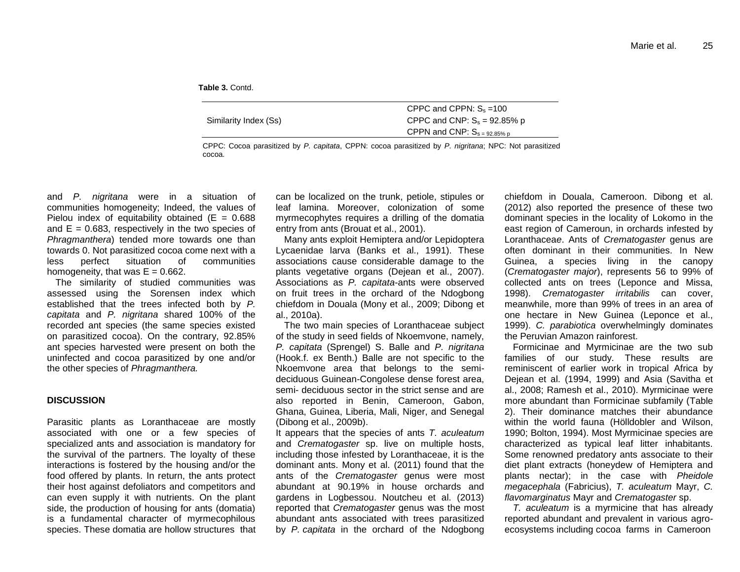**Table 3.** Contd.

| Similarity Index (Ss) | CPPC and CPPN: $S_s = 100$<br>CPPC and CNP: $S_s = 92.85\%$ p<br>CPPN and CNP: $S_{s = 92.85\% p}$ |
|-----------------------|----------------------------------------------------------------------------------------------------|
|                       |                                                                                                    |

CPPC: Cocoa parasitized by *P. capitata*, CPPN: cocoa parasitized by *P. nigritana*; NPC: Not parasitized cocoa.

and *P. nigritana* were in a situation of communities homogeneity; Indeed, the values of Pielou index of equitability obtained ( $E = 0.688$ ) and  $E = 0.683$ , respectively in the two species of *Phragmanthera*) tended more towards one than towards 0. Not parasitized cocoa come next with a less perfect situation of communities homogeneity, that was  $E = 0.662$ .

The similarity of studied communities was assessed using the Sorensen index which established that the trees infected both by *P. capitata* and *P. nigritana* shared 100% of the recorded ant species (the same species existed on parasitized cocoa). On the contrary, 92.85% ant species harvested were present on both the uninfected and cocoa parasitized by one and/or the other species of *Phragmanthera.*

#### **DISCUSSION**

Parasitic plants as Loranthaceae are mostly associated with one or a few species of specialized ants and association is mandatory for the survival of the partners. The loyalty of these interactions is fostered by the housing and/or the food offered by plants. In return, the ants protect their host against defoliators and competitors and can even supply it with nutrients. On the plant side, the production of housing for ants (domatia) is a fundamental character of myrmecophilous species. These domatia are hollow structures that

can be localized on the trunk, petiole, stipules or leaf lamina. Moreover, colonization of some myrmecophytes requires a drilling of the domatia entry from ants (Brouat et al., 2001).

Many ants exploit Hemiptera and/or Lepidoptera Lycaenidae larva (Banks et al., 1991). These associations cause considerable damage to the plants vegetative organs (Dejean et al., 2007). Associations as *P. capitata*-ants were observed on fruit trees in the orchard of the Ndogbong chiefdom in Douala (Mony et al., 2009; Dibong et al., 2010a).

The two main species of Loranthaceae subject of the study in seed fields of Nkoemvone, namely, *P. capitata* (Sprengel) S. Balle and *P. nigritana* (Hook.f. ex Benth.) Balle are not specific to the Nkoemvone area that belongs to the semideciduous Guinean-Congolese dense forest area, semi- deciduous sector in the strict sense and are also reported in Benin, Cameroon, Gabon, Ghana, Guinea, Liberia, Mali, Niger, and Senegal (Dibong et al., 2009b).

It appears that the species of ants *T. aculeatum* and *Crematogaster* sp. live on multiple hosts, including those infested by Loranthaceae, it is the dominant ants. Mony et al. (2011) found that the ants of the *Crematogaster* genus were most abundant at 90.19% in house orchards and gardens in Logbessou. Noutcheu et al. (2013) reported that *Crematogaster* genus was the most abundant ants associated with trees parasitized by *P. capitata* in the orchard of the Ndogbong chiefdom in Douala, Cameroon. Dibong et al. (2012) also reported the presence of these two dominant species in the locality of Lokomo in the east region of Cameroun, in orchards infested by Loranthacea*e*. Ants of *Crematogaster* genus are often dominant in their communities. In New Guinea, a species living in the canopy (*Crematogaster major*), represents 56 to 99% of collected ants on trees (Leponce and Missa, 1998). *Crematogaster irritabilis* can cover, meanwhile, more than 99% of trees in an area of one hectare in New Guinea (Leponce et al., 1999). *C. parabiotica* overwhelmingly dominates the Peruvian Amazon rainforest.

Formicinae and Myrmicinae are the two sub families of our study. These results are reminiscent of earlier work in tropical Africa by Dejean et al. (1994, 1999) and Asia (Savitha et al., 2008; Ramesh et al., 2010). Myrmicinae were more abundant than Formicinae subfamily (Table 2). Their dominance matches their abundance within the world fauna (Hölldobler and Wilson, 1990; Bolton, 1994). Most Myrmicinae species are characterized as typical leaf litter inhabitants. Some renowned predatory ants associate to their diet plant extracts (honeydew of Hemiptera and plants nectar); in the case with *Pheidole megacephala* (Fabricius), *T. aculeatum* Mayr, *C. flavomarginatus* Mayr and *Crematogaster* sp.

*T. aculeatum* is a myrmicine that has already reported abundant and prevalent in various agroecosystems including cocoa farms in Cameroon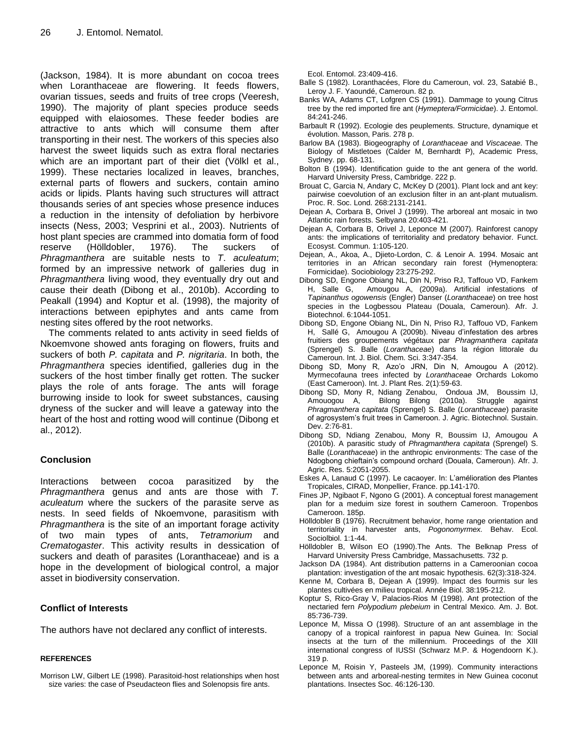(Jackson, 1984). It is more abundant on cocoa trees when Loranthaceae are flowering. It feeds flowers, ovarian tissues, seeds and fruits of tree crops (Veeresh, 1990). The majority of plant species produce seeds equipped with elaiosomes. These feeder bodies are attractive to ants which will consume them after transporting in their nest. The workers of this species also harvest the sweet liquids such as extra floral nectaries which are an important part of their diet (Völkl et al., 1999). These nectaries localized in leaves, branches, external parts of flowers and suckers, contain amino acids or lipids. Plants having such structures will attract thousands series of ant species whose presence induces a reduction in the intensity of defoliation by herbivore insects (Ness, 2003; Vesprini et al., 2003). Nutrients of host plant species are crammed into domatia form of food reserve (Hölldobler, 1976). The suckers of *Phragmanthera* are suitable nests to *T*. *aculeatum*; formed by an impressive network of galleries dug in *Phragmanthera* living wood, they eventually dry out and cause their death (Dibong et al., 2010b). According to Peakall (1994) and Koptur et al. (1998), the majority of interactions between epiphytes and ants came from nesting sites offered by the root networks.

The comments related to ants activity in seed fields of Nkoemvone showed ants foraging on flowers, fruits and suckers of both *P. capitata* and *P. nigritaria*. In both, the *Phragmanthera* species identified, galleries dug in the suckers of the host timber finally get rotten. The sucker plays the role of ants forage. The ants will forage burrowing inside to look for sweet substances, causing dryness of the sucker and will leave a gateway into the heart of the host and rotting wood will continue (Dibong et al., 2012).

## **Conclusion**

Interactions between cocoa parasitized by the *Phragmanthera* genus and ants are those with *T. aculeatum* where the suckers of the parasite serve as nests. In seed fields of Nkoemvone, parasitism with *Phragmanthera* is the site of an important forage activity of two main types of ants, *Tetramorium* and *Crematogaster*. This activity results in dessication of suckers and death of parasites (Loranthaceae) and is a hope in the development of biological control, a major asset in biodiversity conservation.

## **Conflict of Interests**

The authors have not declared any conflict of interests.

#### **REFERENCES**

Morrison LW, Gilbert LE (1998). Parasitoid-host relationships when host size varies: the case of Pseudacteon flies and Solenopsis fire ants.

Ecol. Entomol. 23:409-416.

- Balle S (1982). Loranthacées, Flore du Cameroun, vol. 23, Satabié B., Leroy J. F. Yaoundé, Cameroun. 82 p.
- Banks WA, Adams CT, Lofgren CS (1991). Dammage to young Citrus tree by the red imported fire ant (*Hymeptera/Formicidae*). J. Entomol. 84:241-246.
- Barbault R (1992). Ecologie des peuplements. Structure, dynamique et évolution. Masson, Paris. 278 p.
- Barlow BA (1983). Biogeography of *Loranthaceae* and *Viscaceae*. The Biology of Mistletoes (Calder M, Bernhardt P), Academic Press, Sydney. pp. 68-131.
- Bolton B (1994). Identification guide to the ant genera of the world. Harvard University Press, Cambridge. 222 p.
- Brouat C, Garcia N, Andary C, McKey D (2001). Plant lock and ant key: pairwise coevolution of an exclusion filter in an ant-plant mutualism. Proc. R. Soc. Lond. 268:2131-2141.
- Dejean A, Corbara B, Orivel J (1999). The arboreal ant mosaic in two Atlantic rain forests. Selbyana 20:403-421.
- Dejean A, Corbara B, Orivel J, Leponce M (2007). Rainforest canopy ants: the implications of territoriality and predatory behavior*.* Funct. Ecosyst. Commun. 1:105-120.
- Dejean, A., Akoa, A., Djieto-Lordon, C. & Lenoir A. 1994. Mosaic ant territories in an African secondary rain forest (Hymenoptera: Formicidae). Sociobiology 23:275-292.
- Dibong SD, Engone Obiang NL, Din N, Priso RJ, Taffouo VD, Fankem H, Salle G, Amougou A, (2009a). Artificial infestations of *Tapinanthus ogowensis* (Engler) Danser (*Loranthaceae*) on tree host species in the Logbessou Plateau (Douala, Cameroun). Afr. J. Biotechnol. 6:1044-1051.
- Dibong SD, Engone Obiang NL, Din N, Priso RJ, Taffouo VD, Fankem H, Sallé G, Amougou A (2009b). Niveau d'infestation des arbres fruitiers des groupements végétaux par *Phragmanthera capitata* (Sprengel) S. Balle (*Loranthaceae*) dans la région littorale du Cameroun. Int. J. Biol. Chem. Sci. 3:347-354.
- Dibong SD, Mony R, Azo'o JRN, Din N, Amougou A (2012). Myrmecofauna trees infected by *Loranthaceae* Orchards Lokomo (East Cameroon). Int. J. Plant Res. 2(1):59-63.
- Dibong SD, Mony R, Ndiang Zenabou, Ondoua JM, Boussim IJ, Amouogou A, Bilong Bilong (2010a). Struggle against *Phragmanthera capitata* (Sprengel) S. Balle (*Loranthaceae*) parasite of agrosystem's fruit trees in Cameroon. J. Agric. Biotechnol. Sustain. Dev. 2:76-81.
- Dibong SD, Ndiang Zenabou, Mony R, Boussim IJ, Amougou A (2010b). A parasitic study of *Phragmanthera capitata* (Sprengel) S. Balle (*Loranthaceae*) in the anthropic environments: The case of the Ndogbong chieftain's compound orchard (Douala, Cameroun). Afr. J. Agric. Res. 5:2051-2055.
- Eskes A, Lanaud C (1997). Le cacaoyer. In: L'amélioration des Plantes Tropicales, CIRAD, Monpellier, France. pp.141-170.
- Fines JP, Ngibaot F, Ngono G (2001). A conceptual forest management plan for a meduim size forest in southern Cameroon. Tropenbos Cameroon. 185p.
- Hölldobler B (1976). Recruitment behavior, home range orientation and territoriality in harvester ants, *Pogonomyrmex.* Behav. Ecol. Sociolbiol. 1:1-44.
- Hölldobler B, Wilson EO (1990).The Ants. The Belknap Press of Harvard University Press Cambridge, Massachusetts. 732 p.
- Jackson DA (1984). Ant distribution patterns in a Cameroonian cocoa plantation: investigation of the ant mosaic hypothesis. 62(3):318-324.
- Kenne M, Corbara B, Dejean A (1999). Impact des fourmis sur les plantes cultivées en milieu tropical. Année Biol. 38:195-212.
- Koptur S, Rico-Gray V, Palacios-Rios M (1998). Ant protection of the nectaried fern *Polypodium plebeium* in Central Mexico. Am. J. Bot. 85:736-739.
- Leponce M, Missa O (1998). Structure of an ant assemblage in the canopy of a tropical rainforest in papua New Guinea. In: Social insects at the turn of the millennium. Proceedings of the XIII international congress of IUSSI (Schwarz M.P. & Hogendoorn K.). 319 p.
- Leponce M, Roisin Y, Pasteels JM, (1999). Community interactions between ants and arboreal-nesting termites in New Guinea coconut plantations. Insectes Soc. 46:126-130.